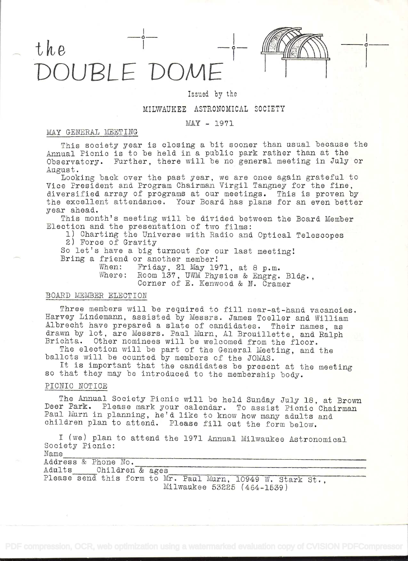



# Issued by the

## MILWAUKEE ASTRONOMICAL SOCIETY

#### MAX - 1971

### MAY GENERAL MEETING

This society year is closing a bit sooner than usual because the Annual Picnic is to be held in a public park rather than at the Observatory. Further, there will be no general meeting in July or August.<br>Looking back over the past year, we are once again grateful to

Vice President and Program Chairman Virgil Tangney for the fine,<br>diversified array of programs at our meetings. This is proven by<br>the excellent attendance. Your Board has plans for an even better year ahead.

This month's meeting will be divided between the Board Member Election and the presentation of two films:

1) Charting the Universe with Radio and Optical Telescopes 2) Force of Gravity

So let's have a big turnout for our last meeting!<br>Bring a friend or another member!<br>When: Friday, 21 May 1971, at 8 p.m.

Where: Room 137, UWM Physics & Engrg. Bldg., Corner of E. Kenwood & N. Cramer

#### BOARD MEMBER ELECTION

Three members will be required to fill near-at-hand vacancies.<br>Harvey Lindemann, assisted by Messrs. James Toeller and William Albrecht have prepared a slate of candidates. Their names, as<br>drawn by lot, are Messrs. Paul Murn, Al Brouillette, and Ralph<br>Brichta. Other nominees will be welcomed from the floor.<br>The election will be part of the General

ballots will be counted by members of the JOMAS.<br>It is important that the candidates be present at the meeting<br>so that they may be introduced to the membership body.

# PICNIC NOTICE

The Annual Society Picnic will be held Sunday July 18, at Brown<br>Deer Park. Please mark your calendar. To assist Picnic Chairman<br>Paul Murn in planning, he'd like to know how many adults and<br>children plan to attend. Please f

<sup>I</sup>(we) plan to attend the 1971 Annual Milwaukee Astronomical Society Picnic: Name

| Address & Phone No.    |                                                             |  |
|------------------------|-------------------------------------------------------------|--|
| Adults Children & ages |                                                             |  |
|                        | Please send this form to Mr. Paul Murn, 10949 W. Stark St., |  |
|                        | Milwaukee 53225 (464-1539)                                  |  |